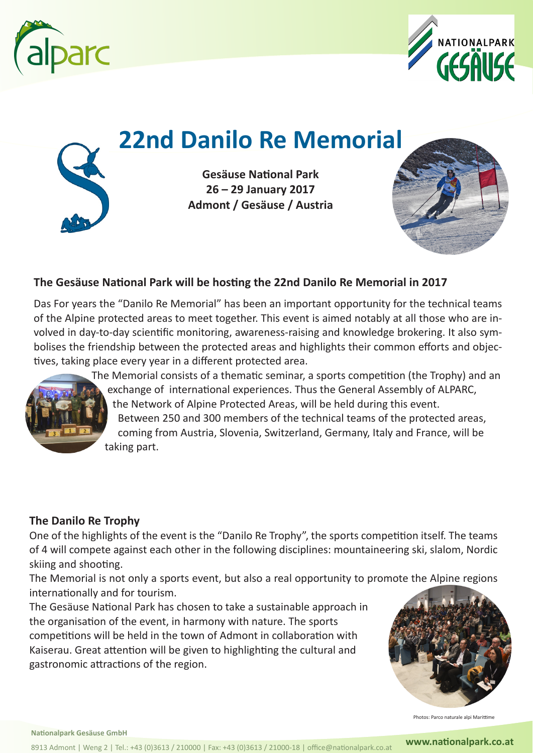



# **22nd Danilo Re Memorial**



**Gesäuse National Park 26 – 29 January 2017 Admont / Gesäuse / Austria**



#### **The Gesäuse National Park will be hosting the 22nd Danilo Re Memorial in 2017**

Das For years the "Danilo Re Memorial" has been an important opportunity for the technical teams of the Alpine protected areas to meet together. This event is aimed notably at all those who are involved in day-to-day scientific monitoring, awareness-raising and knowledge brokering. It also symbolises the friendship between the protected areas and highlights their common efforts and objectives, taking place every year in a different protected area.



 The Memorial consists of a thematic seminar, a sports competition (the Trophy) and an exchange of international experiences. Thus the General Assembly of ALPARC, the Network of Alpine Protected Areas, will be held during this event. Between 250 and 300 members of the technical teams of the protected areas, coming from Austria, Slovenia, Switzerland, Germany, Italy and France, will be taking part.

#### **The Danilo Re Trophy**

One of the highlights of the event is the "Danilo Re Trophy", the sports competition itself. The teams of 4 will compete against each other in the following disciplines: mountaineering ski, slalom, Nordic skiing and shooting.

The Memorial is not only a sports event, but also a real opportunity to promote the Alpine regions internationally and for tourism.

The Gesäuse National Park has chosen to take a sustainable approach in the organisation of the event, in harmony with nature. The sports competitions will be held in the town of Admont in collaboration with Kaiserau. Great attention will be given to highlighting the cultural and gastronomic attractions of the region.



Photos: Parco naturale alpi Marittime

**Nationalpark Gesäuse GmbH**

8913 Admont | Weng 2 | Tel.: +43 (0)3613 / 210000 | Fax: +43 (0)3613 / 21000-18 | office@nationalpark.co.at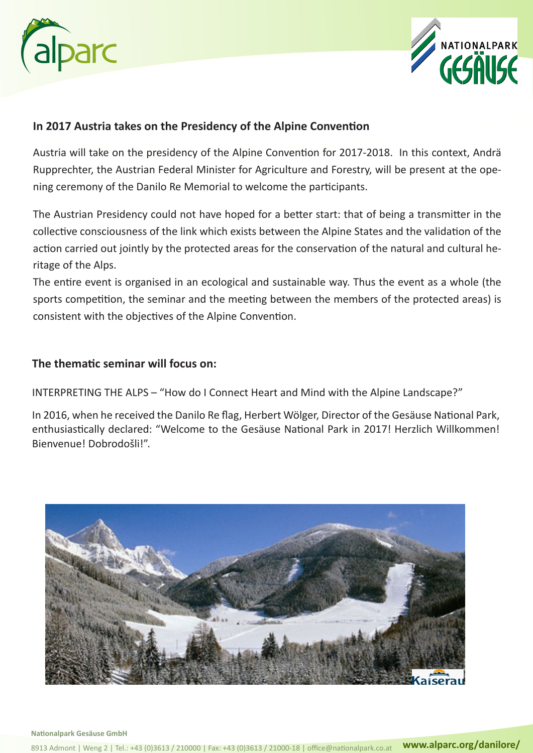



#### **In 2017 Austria takes on the Presidency of the Alpine Convention**

Austria will take on the presidency of the Alpine Convention for 2017-2018. In this context, Andrä Rupprechter, the Austrian Federal Minister for Agriculture and Forestry, will be present at the opening ceremony of the Danilo Re Memorial to welcome the participants.

The Austrian Presidency could not have hoped for a better start: that of being a transmitter in the collective consciousness of the link which exists between the Alpine States and the validation of the action carried out jointly by the protected areas for the conservation of the natural and cultural heritage of the Alps.

The entire event is organised in an ecological and sustainable way. Thus the event as a whole (the sports competition, the seminar and the meeting between the members of the protected areas) is consistent with the objectives of the Alpine Convention.

#### **The thematic seminar will focus on:**

INTERPRETING THE ALPS – "How do I Connect Heart and Mind with the Alpine Landscape?"

In 2016, when he received the Danilo Re flag, Herbert Wölger, Director of the Gesäuse National Park, enthusiastically declared: "Welcome to the Gesäuse National Park in 2017! Herzlich Willkommen! Bienvenue! Dobrodošli!".

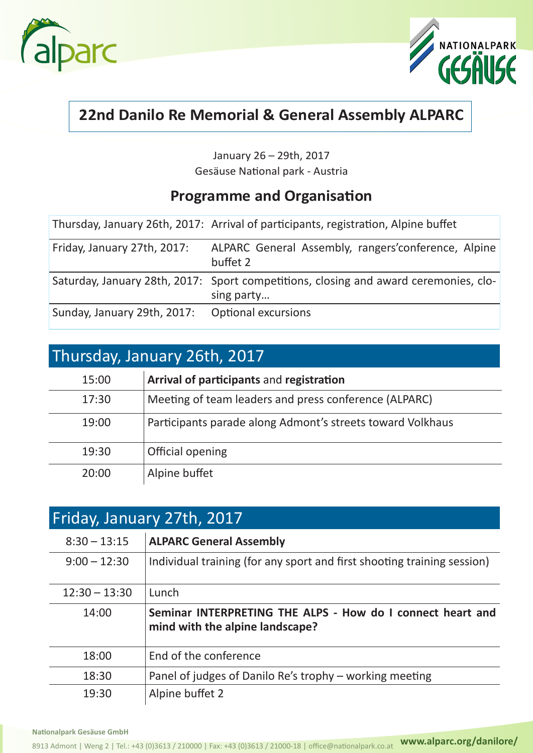



### **22nd Danilo Re Memorial & General Assembly ALPARC**

January 26 – 29th, 2017 Gesäuse National park - Austria

### **Programme and Organisation**

|                             | Thursday, January 26th, 2017: Arrival of participants, registration, Alpine buffet                 |
|-----------------------------|----------------------------------------------------------------------------------------------------|
| Friday, January 27th, 2017: | ALPARC General Assembly, rangers' conference, Alpine<br>buffet 2                                   |
|                             | Saturday, January 28th, 2017: Sport competitions, closing and award ceremonies, clo-<br>sing party |
| Sunday, January 29th, 2017: | <b>Optional excursions</b>                                                                         |

### Thursday, January 26th, 2017

| 15:00 | Arrival of participants and registration                   |
|-------|------------------------------------------------------------|
| 17:30 | Meeting of team leaders and press conference (ALPARC)      |
| 19:00 | Participants parade along Admont's streets toward Volkhaus |
| 19:30 | Official opening                                           |
| 20:00 | Alpine buffet                                              |

| Friday, January 27th, 2017 |                                                                                               |  |
|----------------------------|-----------------------------------------------------------------------------------------------|--|
| $8:30 - 13:15$             | <b>ALPARC General Assembly</b>                                                                |  |
| $9:00 - 12:30$             | Individual training (for any sport and first shooting training session)                       |  |
| $12:30 - 13:30$            | Lunch                                                                                         |  |
| 14:00                      | Seminar INTERPRETING THE ALPS - How do I connect heart and<br>mind with the alpine landscape? |  |
| 18:00                      | End of the conference                                                                         |  |
| 18:30                      | Panel of judges of Danilo Re's trophy - working meeting                                       |  |
| 19:30                      | Alpine buffet 2                                                                               |  |

**Nationalpark Gesäuse GmbH**

**www.alparc.org/danilore/** 8913 Admont | Weng 2 | Tel.: +43 (0)3613 / 21000-18 / 21000-18 | office@nationalpark.co.at **www.alparc.org/danilore/**